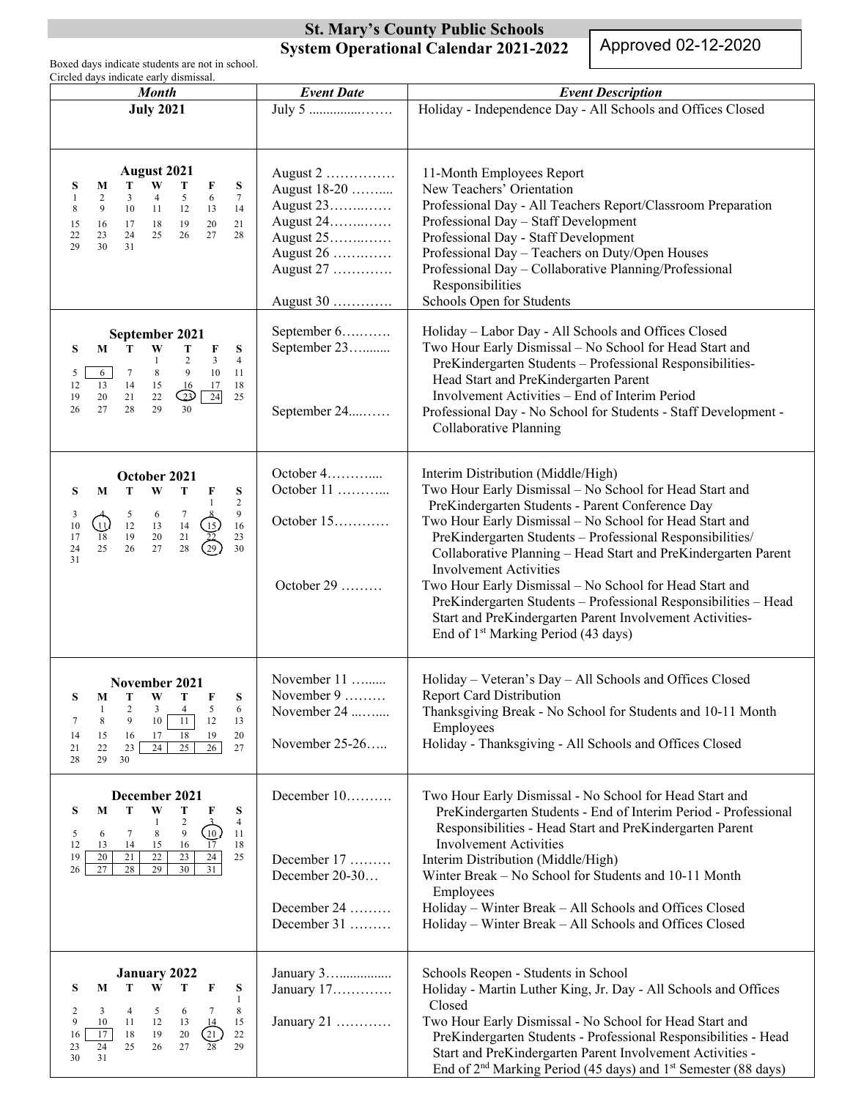## **St. Mary's County Public Schools System Operational Calendar 2021-2022**

Approved 02-12-2020

Boxed days indicate students are not in school. Circled days indicate early dismissal.

| <b>Month</b>                                                                                                                                                                                                                                                                            | <b>Event Date</b>                                                                                      | <b>Event Description</b>                                                                                                                                                                                                                                                                                                                                                                                                                                                                                                                                                                                                  |
|-----------------------------------------------------------------------------------------------------------------------------------------------------------------------------------------------------------------------------------------------------------------------------------------|--------------------------------------------------------------------------------------------------------|---------------------------------------------------------------------------------------------------------------------------------------------------------------------------------------------------------------------------------------------------------------------------------------------------------------------------------------------------------------------------------------------------------------------------------------------------------------------------------------------------------------------------------------------------------------------------------------------------------------------------|
| <b>July 2021</b>                                                                                                                                                                                                                                                                        | July 5                                                                                                 | Holiday - Independence Day - All Schools and Offices Closed                                                                                                                                                                                                                                                                                                                                                                                                                                                                                                                                                               |
| <b>August 2021</b><br>W<br>T<br>T<br>S<br>M<br>F<br>S<br>5<br>6<br>$\tau$<br>2<br>3<br>$\overline{4}$<br>-1<br>9<br>10<br>11 12<br>13<br>14<br>8<br>19<br>20<br>16<br>17<br>18<br>21<br>15<br>22<br>25<br>26<br>27<br>23<br>24<br>28<br>29<br>30<br>31                                  | August 2<br>August 18-20<br>August 23<br>August 24<br>August 25<br>August 26<br>August 27<br>August 30 | 11-Month Employees Report<br>New Teachers' Orientation<br>Professional Day - All Teachers Report/Classroom Preparation<br>Professional Day - Staff Development<br>Professional Day - Staff Development<br>Professional Day - Teachers on Duty/Open Houses<br>Professional Day - Collaborative Planning/Professional<br>Responsibilities<br>Schools Open for Students                                                                                                                                                                                                                                                      |
| September 2021<br>S<br>W<br>S<br>M<br>$\mathbf{T}$<br>т<br>F<br>$\overline{4}$<br>-1<br>3<br>10<br>8<br>9<br>$\tau$<br>11<br>5<br>6<br>13<br>14<br>12<br>15<br><b>16</b><br>17<br>18<br>24<br>$\bigcirc$<br>20<br>21<br>22<br>25<br>19<br>28<br>29<br>30<br>26<br>27                    | September 6<br>September 23<br>September 24                                                            | Holiday - Labor Day - All Schools and Offices Closed<br>Two Hour Early Dismissal - No School for Head Start and<br>PreKindergarten Students - Professional Responsibilities-<br>Head Start and PreKindergarten Parent<br>Involvement Activities - End of Interim Period<br>Professional Day - No School for Students - Staff Development -<br>Collaborative Planning                                                                                                                                                                                                                                                      |
| October 2021<br>S<br>W<br>S<br>M<br>т<br>т<br>F<br>$\overline{c}$<br>$\mathbf{1}$<br>9<br>$\begin{array}{cccc} 5 & 6 & 7 & 8 \\ 12 & 13 & 14 & 15 \\ 19 & 20 & 21 & 22 \\ 26 & 27 & 28 & 29 \end{array}$<br>3<br>$\mathbb{Q}$<br>16<br>10<br>18<br>$23\,$<br>17<br>25<br>30<br>24<br>31 | October 4<br>October 11<br>October 15<br>October 29                                                    | Interim Distribution (Middle/High)<br>Two Hour Early Dismissal - No School for Head Start and<br>PreKindergarten Students - Parent Conference Day<br>Two Hour Early Dismissal - No School for Head Start and<br>PreKindergarten Students - Professional Responsibilities/<br>Collaborative Planning - Head Start and PreKindergarten Parent<br><b>Involvement Activities</b><br>Two Hour Early Dismissal - No School for Head Start and<br>PreKindergarten Students - Professional Responsibilities - Head<br>Start and PreKindergarten Parent Involvement Activities-<br>End of 1 <sup>st</sup> Marking Period (43 days) |
| November 2021<br>${\bf T}$<br>$\mathbf{T}$<br>W<br>F<br>S<br>S<br>M<br>2<br>$3^{\circ}$<br>$\overline{4}$<br>6<br>10<br>8<br>9<br>11<br>12<br>13<br>7<br>18<br>19<br>20<br>15<br>16<br>14<br>17<br>24<br>25<br>26<br>23<br>27<br>22<br>21<br>29<br>30<br>28                             | November 11<br>November 9<br>November 24<br>November 25-26                                             | Holiday - Veteran's Day - All Schools and Offices Closed<br><b>Report Card Distribution</b><br>Thanksgiving Break - No School for Students and 10-11 Month<br>Employees<br>Holiday - Thanksgiving - All Schools and Offices Closed                                                                                                                                                                                                                                                                                                                                                                                        |
| December 2021<br>M<br>T<br>W<br>T<br>S<br>S<br>F<br>$\overline{4}$<br>2<br>-1<br>$\left(10\right)$<br>8<br>9<br>6<br>7<br>11<br>5<br>16<br>$\overline{17}$<br>14<br>18<br>12<br>13<br>15<br>24<br>$23\,$<br>20<br>21<br>$22$<br>25<br>19<br>26<br>27<br>28<br>29<br>30<br>31            | December 10<br>December 17<br>December 20-30<br>December 24<br>December 31                             | Two Hour Early Dismissal - No School for Head Start and<br>PreKindergarten Students - End of Interim Period - Professional<br>Responsibilities - Head Start and PreKindergarten Parent<br><b>Involvement Activities</b><br>Interim Distribution (Middle/High)<br>Winter Break - No School for Students and 10-11 Month<br>Employees<br>Holiday - Winter Break - All Schools and Offices Closed<br>Holiday - Winter Break - All Schools and Offices Closed                                                                                                                                                                 |
| <b>January 2022</b><br>S<br>S<br>W<br>т<br>F<br>M<br>т<br>1<br>3<br>$\overline{4}$<br>5<br>8<br>2<br>6<br>7<br>9<br>10<br>11<br>12<br>13<br>15<br>$\overline{14}$<br>17<br>18<br>19<br>$20\,$<br>(21)<br>22<br>16<br>27<br>28<br>24<br>25<br>29<br>23<br>26<br>31<br>30                 | January 3<br>January 17<br>January 21                                                                  | Schools Reopen - Students in School<br>Holiday - Martin Luther King, Jr. Day - All Schools and Offices<br>Closed<br>Two Hour Early Dismissal - No School for Head Start and<br>PreKindergarten Students - Professional Responsibilities - Head<br>Start and PreKindergarten Parent Involvement Activities -<br>End of 2 <sup>nd</sup> Marking Period (45 days) and 1 <sup>st</sup> Semester (88 days)                                                                                                                                                                                                                     |